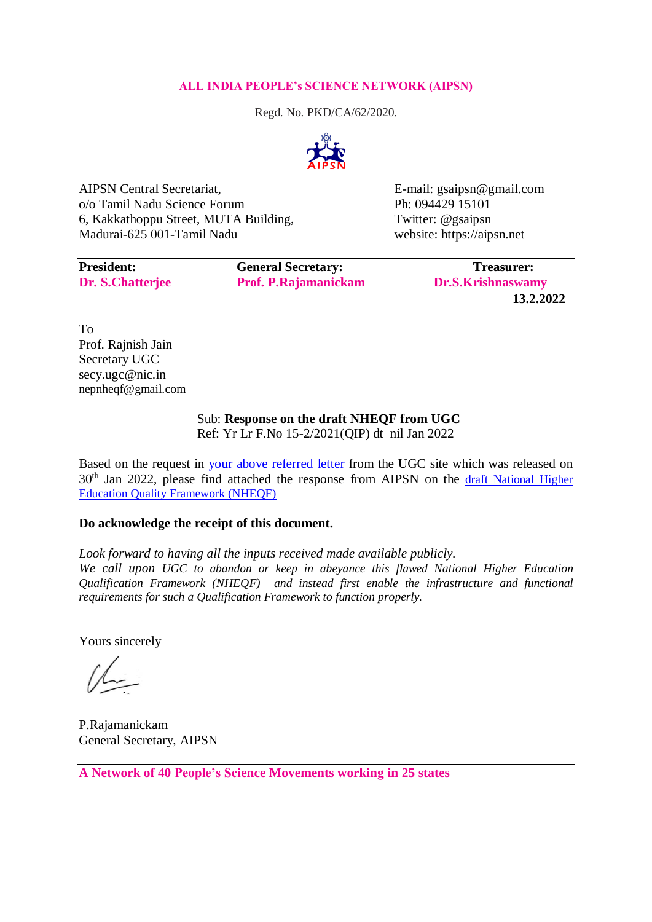## **ALL INDIA PEOPLE's SCIENCE NETWORK (AIPSN)**

Regd. No. PKD/CA/62/2020.



AIPSN Central Secretariat, E-mail: gsaipsn@gmail.com o/o Tamil Nadu Science Forum Ph: 094429 15101 6, Kakkathoppu Street, MUTA Building, Twitter: @gsaipsn Madurai-625 001-Tamil Nadu website: https://aipsn.net

| <b>President:</b> | <b>General Secretary:</b>   | Treasurer:        |
|-------------------|-----------------------------|-------------------|
| Dr. S.Chatterjee  | <b>Prof. P.Rajamanickam</b> | Dr.S.Krishnaswamy |
|                   |                             |                   |

**13.2.2022**

To Prof. Rajnish Jain Secretary UGC secy.ugc@nic.in nepnheqf@gmail.com

## Sub: **Response on the draft NHEQF from UGC**

Ref: Yr Lr F.No 15-2/2021(QIP) dt nil Jan 2022

Based on the request in [your above referred letter](https://www.ugc.ac.in/pdfnews/0375161_Public-Notice.pdf) from the UGC site which was released on 30<sup>th</sup> Jan 2022, please find attached the response from AIPSN on the draft National Higher [Education Quality Framework \(NHEQF\)](https://www.ugc.ac.in/pdfnews/2142241_NHEQF-Draft.pdf)

# **Do acknowledge the receipt of this document.**

*Look forward to having all the inputs received made available publicly.*

*We call upon UGC to abandon or keep in abeyance this flawed National Higher Education Qualification Framework (NHEQF) and instead first enable the infrastructure and functional requirements for such a Qualification Framework to function properly.* 

Yours sincerely

P.Rajamanickam General Secretary, AIPSN

**A Network of 40 People's Science Movements working in 25 states**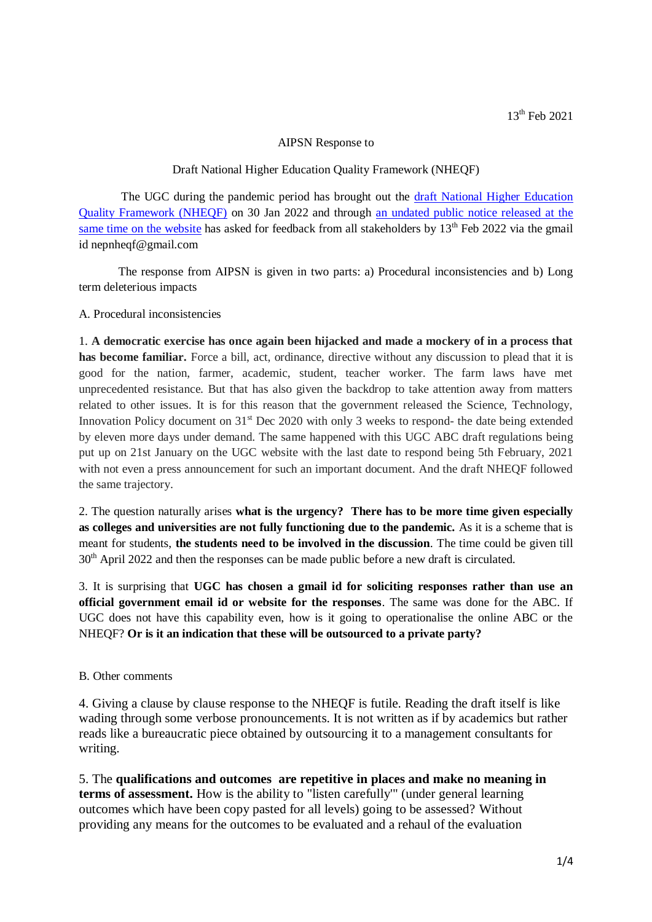### AIPSN Response to

### Draft National Higher Education Quality Framework (NHEQF)

The UGC during the pandemic period has brought out the draft National Higher Education [Quality Framework \(NHEQF\)](https://www.ugc.ac.in/pdfnews/2142241_NHEQF-Draft.pdf) on 30 Jan 2022 and through [an undated public notice released at the](https://www.ugc.ac.in/pdfnews/0375161_Public-Notice.pdf)  [same time on the website](https://www.ugc.ac.in/pdfnews/0375161_Public-Notice.pdf) has asked for feedback from all stakeholders by  $13<sup>th</sup>$  Feb 2022 via the gmail id nepnheqf@gmail.com

The response from AIPSN is given in two parts: a) Procedural inconsistencies and b) Long term deleterious impacts

A. Procedural inconsistencies

1. **A democratic exercise has once again been hijacked and made a mockery of in a process that has become familiar.** Force a bill, act, ordinance, directive without any discussion to plead that it is good for the nation, farmer, academic, student, teacher worker. The farm laws have met unprecedented resistance. But that has also given the backdrop to take attention away from matters related to other issues. It is for this reason that the government released the Science, Technology, Innovation Policy document on 31<sup>st</sup> Dec 2020 with only 3 weeks to respond- the date being extended by eleven more days under demand. The same happened with this UGC ABC draft regulations being put up on 21st January on the UGC website with the last date to respond being 5th February, 2021 with not even a press announcement for such an important document. And the draft NHEQF followed the same trajectory.

2. The question naturally arises **what is the urgency? There has to be more time given especially as colleges and universities are not fully functioning due to the pandemic.** As it is a scheme that is meant for students, **the students need to be involved in the discussion**. The time could be given till 30<sup>th</sup> April 2022 and then the responses can be made public before a new draft is circulated.

3. It is surprising that **UGC has chosen a gmail id for soliciting responses rather than use an official government email id or website for the responses**. The same was done for the ABC. If UGC does not have this capability even, how is it going to operationalise the online ABC or the NHEQF? **Or is it an indication that these will be outsourced to a private party?**

#### B. Other comments

4. Giving a clause by clause response to the NHEQF is futile. Reading the draft itself is like wading through some verbose pronouncements. It is not written as if by academics but rather reads like a bureaucratic piece obtained by outsourcing it to a management consultants for writing.

5. The **qualifications and outcomes are repetitive in places and make no meaning in terms of assessment.** How is the ability to "listen carefully'" (under general learning outcomes which have been copy pasted for all levels) going to be assessed? Without providing any means for the outcomes to be evaluated and a rehaul of the evaluation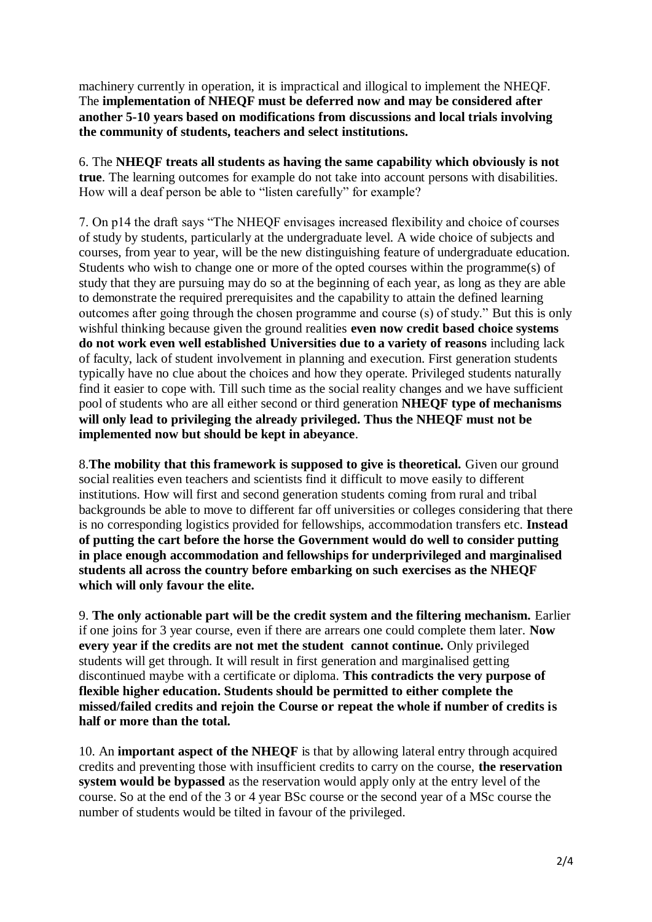machinery currently in operation, it is impractical and illogical to implement the NHEQF. The **implementation of NHEQF must be deferred now and may be considered after another 5-10 years based on modifications from discussions and local trials involving the community of students, teachers and select institutions.**

6. The **NHEQF treats all students as having the same capability which obviously is not true**. The learning outcomes for example do not take into account persons with disabilities. How will a deaf person be able to "listen carefully" for example?

7. On p14 the draft says "The NHEQF envisages increased flexibility and choice of courses of study by students, particularly at the undergraduate level. A wide choice of subjects and courses, from year to year, will be the new distinguishing feature of undergraduate education. Students who wish to change one or more of the opted courses within the programme(s) of study that they are pursuing may do so at the beginning of each year, as long as they are able to demonstrate the required prerequisites and the capability to attain the defined learning outcomes after going through the chosen programme and course (s) of study." But this is only wishful thinking because given the ground realities **even now credit based choice systems do not work even well established Universities due to a variety of reasons** including lack of faculty, lack of student involvement in planning and execution. First generation students typically have no clue about the choices and how they operate. Privileged students naturally find it easier to cope with. Till such time as the social reality changes and we have sufficient pool of students who are all either second or third generation **NHEQF type of mechanisms will only lead to privileging the already privileged. Thus the NHEQF must not be implemented now but should be kept in abeyance**.

8.**The mobility that this framework is supposed to give is theoretical.** Given our ground social realities even teachers and scientists find it difficult to move easily to different institutions. How will first and second generation students coming from rural and tribal backgrounds be able to move to different far off universities or colleges considering that there is no corresponding logistics provided for fellowships, accommodation transfers etc. **Instead of putting the cart before the horse the Government would do well to consider putting in place enough accommodation and fellowships for underprivileged and marginalised students all across the country before embarking on such exercises as the NHEQF which will only favour the elite.**

9. **The only actionable part will be the credit system and the filtering mechanism.** Earlier if one joins for 3 year course, even if there are arrears one could complete them later. **Now every year if the credits are not met the student cannot continue.** Only privileged students will get through. It will result in first generation and marginalised getting discontinued maybe with a certificate or diploma. **This contradicts the very purpose of flexible higher education. Students should be permitted to either complete the missed/failed credits and rejoin the Course or repeat the whole if number of credits is half or more than the total.**

10. An **important aspect of the NHEQF** is that by allowing lateral entry through acquired credits and preventing those with insufficient credits to carry on the course, **the reservation system would be bypassed** as the reservation would apply only at the entry level of the course. So at the end of the 3 or 4 year BSc course or the second year of a MSc course the number of students would be tilted in favour of the privileged.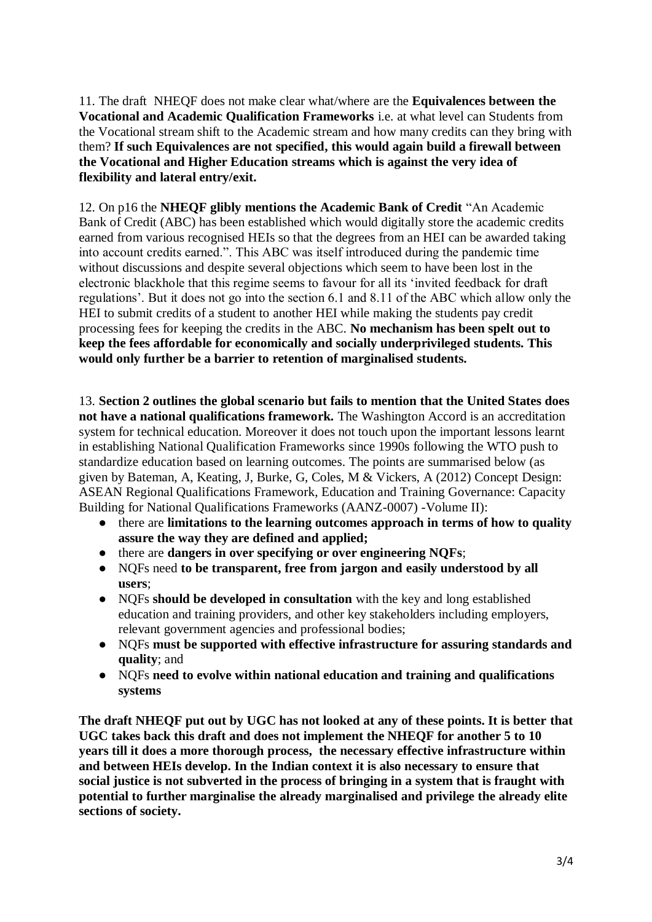11. The draft NHEQF does not make clear what/where are the **Equivalences between the Vocational and Academic Qualification Frameworks** i.e. at what level can Students from the Vocational stream shift to the Academic stream and how many credits can they bring with them? **If such Equivalences are not specified, this would again build a firewall between the Vocational and Higher Education streams which is against the very idea of flexibility and lateral entry/exit.**

12. On p16 the **NHEQF glibly mentions the Academic Bank of Credit** "An Academic Bank of Credit (ABC) has been established which would digitally store the academic credits earned from various recognised HEIs so that the degrees from an HEI can be awarded taking into account credits earned.". This ABC was itself introduced during the pandemic time without discussions and despite several objections which seem to have been lost in the electronic blackhole that this regime seems to favour for all its 'invited feedback for draft regulations'. But it does not go into the section 6.1 and 8.11 of the ABC which allow only the HEI to submit credits of a student to another HEI while making the students pay credit processing fees for keeping the credits in the ABC. **No mechanism has been spelt out to keep the fees affordable for economically and socially underprivileged students. This would only further be a barrier to retention of marginalised students.**

13. **Section 2 outlines the global scenario but fails to mention that the United States does not have a national qualifications framework.** The Washington Accord is an accreditation system for technical education. Moreover it does not touch upon the important lessons learnt in establishing National Qualification Frameworks since 1990s following the WTO push to standardize education based on learning outcomes. The points are summarised below (as given by Bateman, A, Keating, J, Burke, G, Coles, M & Vickers, A (2012) Concept Design: ASEAN Regional Qualifications Framework, Education and Training Governance: Capacity Building for National Qualifications Frameworks (AANZ-0007) -Volume II):

- there are **limitations to the learning outcomes approach in terms of how to quality assure the way they are defined and applied;**
- there are **dangers in over specifying or over engineering NQFs**;
- NQFs need **to be transparent, free from jargon and easily understood by all users**;
- NQFs **should be developed in consultation** with the key and long established education and training providers, and other key stakeholders including employers, relevant government agencies and professional bodies;
- NQFs **must be supported with effective infrastructure for assuring standards and quality**; and
- NQFs **need to evolve within national education and training and qualifications systems**

**The draft NHEQF put out by UGC has not looked at any of these points. It is better that UGC takes back this draft and does not implement the NHEQF for another 5 to 10 years till it does a more thorough process, the necessary effective infrastructure within and between HEIs develop. In the Indian context it is also necessary to ensure that social justice is not subverted in the process of bringing in a system that is fraught with potential to further marginalise the already marginalised and privilege the already elite sections of society.**